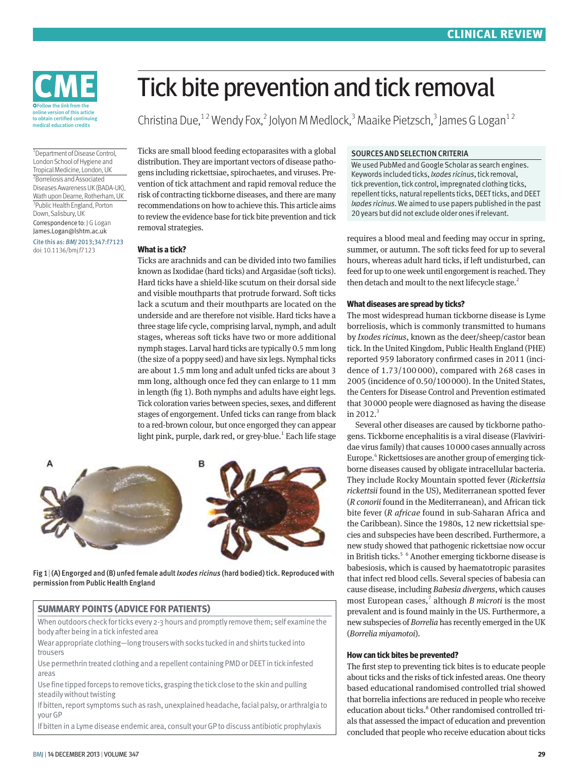

1 Department of Disease Control, London School of Hygiene and Tropical Medicine, London, UK 2 Borreliosis and Associated Diseases Awareness UK (BADA-UK), Wath upon Dearne, Rotherham, UK 3 Public Health England, Porton Down, Salisbury, UK Correspondence to: J G Logan James.Logan@lshtm.ac.uk Cite this as: *BMJ* 2013;347:f7123 doi: 10.1136/bmj.f7123

# Tick bite prevention and tick removal

Christina Due,<sup>12</sup> Wendy Fox,<sup>2</sup> Jolyon M Medlock,<sup>3</sup> Maaike Pietzsch,<sup>3</sup> James G Logan<sup>12</sup>

Ticks are small blood feeding ectoparasites with a global distribution. They are important vectors of disease pathogens including rickettsiae, spirochaetes, and viruses. Prevention of tick attachment and rapid removal reduce the risk of contracting tickborne diseases, and there are many recommendations on how to achieve this. This article aims to review the evidence base for tick bite prevention and tick removal strategies.

#### **What is a tick?**

Ticks are arachnids and can be divided into two families known as Ixodidae (hard ticks) and Argasidae (soft ticks). Hard ticks have a shield-like scutum on their dorsal side and visible mouthparts that protrude forward. Soft ticks lack a scutum and their mouthparts are located on the underside and are therefore not visible. Hard ticks have a three stage life cycle, comprising larval, nymph, and adult stages, whereas soft ticks have two or more additional nymph stages. Larval hard ticks are typically 0.5 mm long (the size of a poppy seed) and have six legs. Nymphal ticks are about 1.5 mm long and adult unfed ticks are about 3 mm long, although once fed they can enlarge to 11 mm in length (fig 1). Both nymphs and adults have eight legs. Tick coloration varies between species, sexes, and different stages of engorgement. Unfed ticks can range from black to a red-brown colour, but once engorged they can appear light pink, purple, dark red, or grey-blue.<sup>1</sup> Each life stage



Fig 1| (A) Engorged and (B) unfed female adult *Ixodes ricinus* (hard bodied) tick. Reproduced with permission from Public Health England

#### **SUMMARY POINTS (ADVICE FOR PATIENTS)**

When outdoors check for ticks every 2-3 hours and promptly remove them; self examine the body after being in a tick infested area

Wear appropriate clothing—long trousers with socks tucked in and shirts tucked into trousers

Use permethrin treated clothing and a repellent containing PMD or DEET in tick infested areas

Use fine tipped forceps to remove ticks, grasping the tick close to the skin and pulling steadily without twisting

If bitten, report symptoms such as rash, unexplained headache, facial palsy, or arthralgia to your GP

If bitten in a Lyme disease endemic area, consult your GP to discuss antibiotic prophylaxis

#### SOURCES AND SELECTION CRITERIA

We used PubMed and Google Scholar as search engines. Keywords included ticks, *Ixodes ricinus*, tick removal, tick prevention, tick control, impregnated clothing ticks, repellent ticks, natural repellents ticks, DEET ticks, and DEET *Ixodes ricinus*. We aimed to use papers published in the past 20 years but did not exclude older ones if relevant.

requires a blood meal and feeding may occur in spring, summer, or autumn. The soft ticks feed for up to several hours, whereas adult hard ticks, if left undisturbed, can feed for up to one week until engorgement is reached. They then detach and moult to the next lifecycle stage. $<sup>2</sup>$ </sup>

#### **What diseases are spread by ticks?**

The most widespread human tickborne disease is Lyme borreliosis, which is commonly transmitted to humans by *Ixodes ricinus*, known as the deer/sheep/castor bean tick. In the United Kingdom, Public Health England (PHE) reported 959 laboratory confirmed cases in 2011 (incidence of 1.73/100 000), compared with 268 cases in 2005 (incidence of 0.50/100000). In the United States, the Centers for Disease Control and Prevention estimated that 30000 people were diagnosed as having the disease in 2012. $3$ 

Several other diseases are caused by tickborne pathogens. Tickborne encephalitis is a viral disease (Flaviviridae virus family) that causes 10000 cases annually across Europe.<sup>4</sup> Rickettsioses are another group of emerging tickborne diseases caused by obligate intracellular bacteria. They include Rocky Mountain spotted fever (*Rickettsia rickettsii* found in the US), Mediterranean spotted fever (*R conorii* found in the Mediterranean), and African tick bite fever (*R africae* found in sub-Saharan Africa and the Caribbean). Since the 1980s, 12 new rickettsial species and subspecies have been described. Furthermore, a new study showed that pathogenic rickettsiae now occur in British ticks.<sup>5 6</sup> Another emerging tickborne disease is babesiosis, which is caused by haematotropic parasites that infect red blood cells. Several species of babesia can cause disease, including *Babesia divergens*, which causes most European cases,<sup>7</sup> although *B microti* is the most prevalent and is found mainly in the US. Furthermore, a new subspecies of *Borrelia* has recently emerged in the UK (*Borrelia miyamotoi*).

#### **How can tick bites be prevented?**

The first step to preventing tick bites is to educate people about ticks and the risks of tick infested areas. One theory based educational randomised controlled trial showed that borrelia infections are reduced in people who receive education about ticks.<sup>8</sup> Other randomised controlled trials that assessed the impact of education and prevention concluded that people who receive education about ticks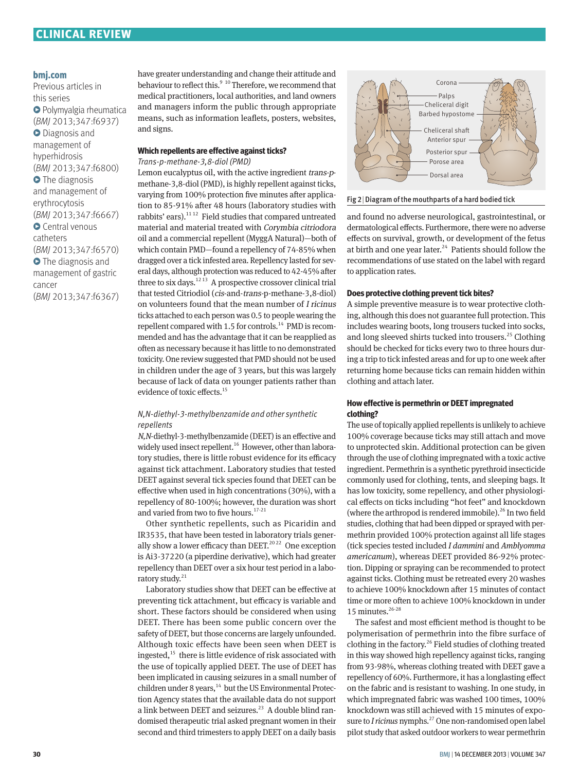# **CLINICAL REVIEW**

#### **bmj.com**

Previous articles in this series **O** Polymyalgia rheumatica (*BMJ* 2013;347:f6937)  $\bullet$  Diagnosis and management of hyperhidrosis (*BMJ* 2013;347:f6800) **•** The diagnosis and management of erythrocytosis (*BMJ* 2013;347:f6667) Central venous catheters (*BMJ* 2013;347:f6570) **•** The diagnosis and management of gastric cancer (*BMJ* 2013;347:f6367)

have greater understanding and change their attitude and behaviour to reflect this. $910$  Therefore, we recommend that medical practitioners, local authorities, and land owners and managers inform the public through appropriate means, such as information leaflets, posters, websites, and signs.

# **Which repellents are effective against ticks?**

#### *Trans-p-methane-3,8-diol (PMD)*

Lemon eucalyptus oil, with the active ingredient trans-pmethane-3,8-diol (PMD), is highly repellent against ticks, varying from 100% protection five minutes after application to 85-91% after 48 hours (laboratory studies with rabbits' ears).<sup>1112</sup> Field studies that compared untreated material and material treated with Corymbia citriodora oil and a commercial repellent (MyggA Natural)—both of which contain PMD—found a repellency of 74-85% when dragged over a tick infested area. Repellency lasted for several days, although protection was reduced to 42-45% after three to six days. $1213$  A prospective crossover clinical trial that tested Citriodiol (cis-and-trans-p-methane-3,8-diol) on volunteers found that the mean number of I ricinus ticks attached to each person was 0.5 to people wearing the repellent compared with 1.5 for controls.<sup>14</sup> PMD is recommended and has the advantage that it can be reapplied as often as necessary because it has little to no demonstrated toxicity. One review suggested that PMD should not be used in children under the age of 3 years, but this was largely because of lack of data on younger patients rather than evidence of toxic effects.<sup>15</sup>

## *N,N-diethyl-3-methylbenzamide and other synthetic repellents*

N,N-diethyl-3-methylbenzamide (DEET) is an effective and widely used insect repellent.<sup>16</sup> However, other than laboratory studies, there is little robust evidence for its efficacy against tick attachment. Laboratory studies that tested DEET against several tick species found that DEET can be effective when used in high concentrations (30%), with a repellency of 80-100%; however, the duration was short and varied from two to five hours.<sup>17-21</sup>

Other synthetic repellents, such as Picaridin and IR3535, that have been tested in laboratory trials generally show a lower efficacy than DEET.<sup>2022</sup> One exception is Ai3-37220 (a piperdine derivative), which had greater repellency than DEET over a six hour test period in a laboratory study.<sup>21</sup>

Laboratory studies show that DEET can be effective at preventing tick attachment, but efficacy is variable and short. These factors should be considered when using DEET. There has been some public concern over the safety of DEET, but those concerns are largely unfounded. Although toxic effects have been seen when DEET is ingested, $^{15}$  there is little evidence of risk associated with the use of topically applied DEET. The use of DEET has been implicated in causing seizures in a small number of children under 8 years, $14$  but the US Environmental Protection Agency states that the available data do not support a link between DEET and seizures.<sup>23</sup> A double blind randomised therapeutic trial asked pregnant women in their second and third trimesters to apply DEET on a daily basis



#### Fig 2| Diagram of the mouthparts of a hard bodied tick

and found no adverse neurological, gastrointestinal, or dermatological effects. Furthermore, there were no adverse effects on survival, growth, or development of the fetus at birth and one year later. $24$  Patients should follow the recommendations of use stated on the label with regard to application rates.

#### **Does protective clothing prevent tick bites?**

A simple preventive measure is to wear protective clothing, although this does not guarantee full protection. This includes wearing boots, long trousers tucked into socks, and long sleeved shirts tucked into trousers.<sup>25</sup> Clothing should be checked for ticks every two to three hours during a trip to tick infested areas and for up to one week after returning home because ticks can remain hidden within clothing and attach later.

## **How effective is permethrin or DEET impregnated clothing?**

The use of topically applied repellents is unlikely to achieve 100% coverage because ticks may still attach and move to unprotected skin. Additional protection can be given through the use of clothing impregnated with a toxic active ingredient. Permethrin is a synthetic pyrethroid insecticide commonly used for clothing, tents, and sleeping bags. It has low toxicity, some repellency, and other physiological effects on ticks including "hot feet" and knockdown (where the arthropod is rendered immobile).<sup>26</sup> In two field studies, clothing that had been dipped or sprayed with permethrin provided 100% protection against all life stages (tick species tested included *I dammini* and *Amblyomma americanum*), whereas DEET provided 86-92% protection. Dipping or spraying can be recommended to protect against ticks. Clothing must be retreated every 20 washes to achieve 100% knockdown after 15 minutes of contact time or more often to achieve 100% knockdown in under 15 minutes.<sup>26-28</sup>

The safest and most efficient method is thought to be polymerisation of permethrin into the fibre surface of clothing in the factory.<sup>26</sup> Field studies of clothing treated in this way showed high repellency against ticks, ranging from 93-98%, whereas clothing treated with DEET gave a repellency of 60%. Furthermore, it has a longlasting effect on the fabric and is resistant to washing. In one study, in which impregnated fabric was washed 100 times, 100% knockdown was still achieved with 15 minutes of exposure to *I ricinus* nymphs.<sup>27</sup> One non-randomised open label pilot study that asked outdoor workers to wear permethrin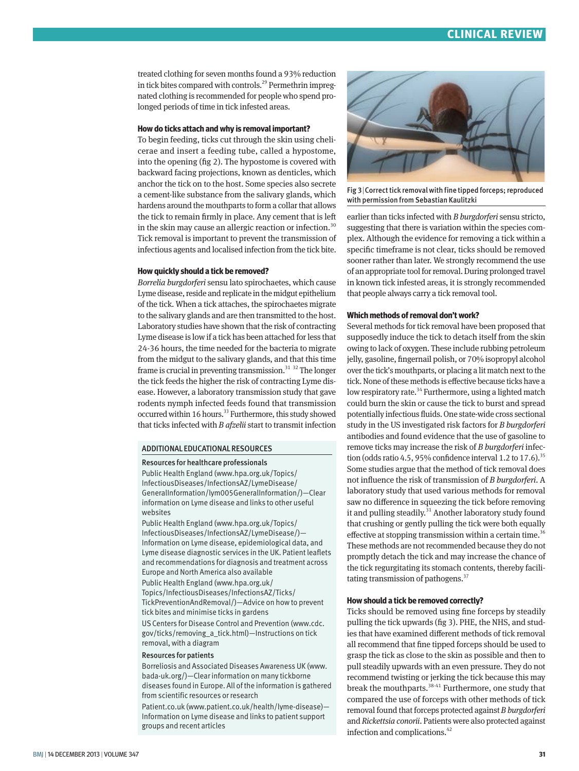treated clothing for seven months found a 93% reduction in tick bites compared with controls.<sup>29</sup> Permethrin impregnated clothing is recommended for people who spend prolonged periods of time in tick infested areas.

## **How do ticks attach and why is removal important?**

To begin feeding, ticks cut through the skin using chelicerae and insert a feeding tube, called a hypostome, into the opening (fig 2). The hypostome is covered with backward facing projections, known as denticles, which anchor the tick on to the host. Some species also secrete a cement-like substance from the salivary glands, which hardens around the mouthparts to form a collar that allows the tick to remain firmly in place. Any cement that is left in the skin may cause an allergic reaction or infection.<sup>30</sup> Tick removal is important to prevent the transmission of infectious agents and localised infection from the tick bite.

# **How quickly should a tick be removed?**

*Borrelia burgdorferi* sensu lato spirochaetes, which cause Lyme disease, reside and replicate in the midgut epithelium of the tick. When a tick attaches, the spirochaetes migrate to the salivary glands and are then transmitted to the host. Laboratory studies have shown that the risk of contracting Lyme disease is low if a tick has been attached for less that 24-36 hours, the time needed for the bacteria to migrate from the midgut to the salivary glands, and that this time frame is crucial in preventing transmission.<sup>31</sup> <sup>32</sup> The longer the tick feeds the higher the risk of contracting Lyme disease. However, a laboratory transmission study that gave rodents nymph infected feeds found that transmission occurred within 16 hours.<sup>33</sup> Furthermore, this study showed that ticks infected with *B afzelii* start to transmit infection

# ADDITIONAL EDUCATIONAL RESOURCES

#### Resources for healthcare professionals

Public Health England (www.hpa.org.uk/Topics/ InfectiousDiseases/InfectionsAZ/LymeDisease/ GeneralInformation/lym005GeneralInformation/)—Clear information on Lyme disease and links to other useful websites

Public Health England (www.hpa.org.uk/Topics/ InfectiousDiseases/InfectionsAZ/LymeDisease/)— Information on Lyme disease, epidemiological data, and Lyme disease diagnostic services in the UK. Patient leaflets and recommendations for diagnosis and treatment across Europe and North America also available Public Health England (www.hpa.org.uk/ Topics/InfectiousDiseases/InfectionsAZ/Ticks/ TickPreventionAndRemoval/)—Advice on how to prevent tick bites and minimise ticks in gardens

US Centers for Disease Control and Prevention (www.cdc. gov/ticks/removing\_a\_tick.html)—Instructions on tick removal, with a diagram

#### Resources for patients

Borreliosis and Associated Diseases Awareness UK (www. bada-uk.org/)—Clear information on many tickborne diseases found in Europe. All of the information is gathered from scientific resources or research

Patient.co.uk (www.patient.co.uk/health/lyme-disease)— Information on Lyme disease and links to patient support groups and recent articles



Fig 3|Correct tick removal with fine tipped forceps; reproduced with permission from Sebastian Kaulitzki

earlier than ticks infected with *B burgdorferi* sensu stricto, suggesting that there is variation within the species complex. Although the evidence for removing a tick within a specific timeframe is not clear, ticks should be removed sooner rather than later. We strongly recommend the use of an appropriate tool for removal. During prolonged travel in known tick infested areas, it is strongly recommended that people always carry a tick removal tool.

## **Which methods of removal don't work?**

Several methods for tick removal have been proposed that supposedly induce the tick to detach itself from the skin owing to lack of oxygen. These include rubbing petroleum jelly, gasoline, fingernail polish, or 70% isopropyl alcohol over the tick's mouthparts, or placing a lit match next to the tick. None of these methods is effective because ticks have a low respiratory rate.<sup>34</sup> Furthermore, using a lighted match could burn the skin or cause the tick to burst and spread potentially infectious fluids. One state-wide cross sectional study in the US investigated risk factors for *B burgdorferi* antibodies and found evidence that the use of gasoline to remove ticks may increase the risk of *B burgdorferi* infection (odds ratio 4.5, 95% confidence interval 1.2 to 17.6).<sup>35</sup> Some studies argue that the method of tick removal does not influence the risk of transmission of *B burgdorferi*. A laboratory study that used various methods for removal saw no difference in squeezing the tick before removing it and pulling steadily.<sup>31</sup> Another laboratory study found that crushing or gently pulling the tick were both equally effective at stopping transmission within a certain time.<sup>36</sup> These methods are not recommended because they do not promptly detach the tick and may increase the chance of the tick regurgitating its stomach contents, thereby facilitating transmission of pathogens.<sup>37</sup>

# **How should a tick be removed correctly?**

Ticks should be removed using fine forceps by steadily pulling the tick upwards (fig 3). PHE, the NHS, and studies that have examined different methods of tick removal all recommend that fine tipped forceps should be used to grasp the tick as close to the skin as possible and then to pull steadily upwards with an even pressure. They do not recommend twisting or jerking the tick because this may break the mouthparts.<sup>38-41</sup> Furthermore, one study that compared the use of forceps with other methods of tick removal found that forceps protected against *B burgdorferi* and *Rickettsia conorii*. Patients were also protected against infection and complications.<sup>42</sup>